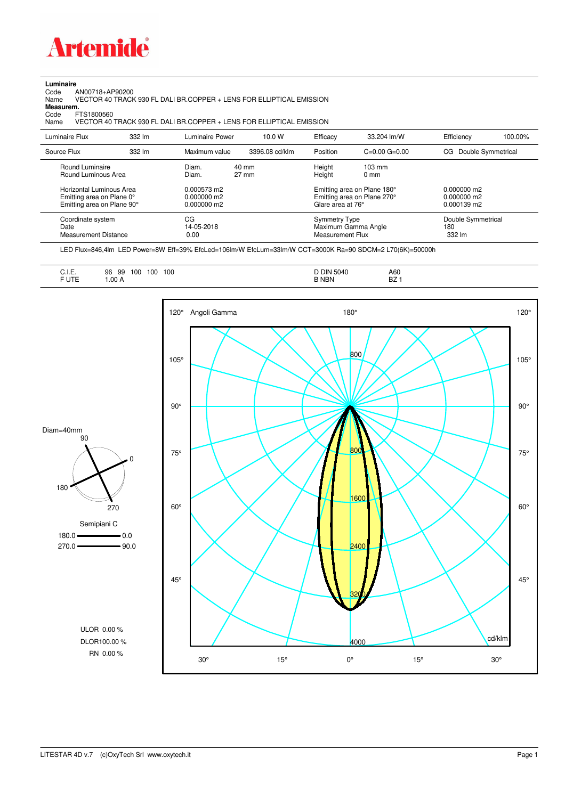

## **Luminaire**<br>Code<br>Name

Code AN00718+AP90200 Name VECTOR 40 TRACK 930 FL DALI BR.COPPER + LENS FOR ELLIPTICAL EMISSION

**Measurem.**

Code FTS1800560<br>Name VECTOR 40 VECTOR 40 TRACK 930 FL DALI BR.COPPER + LENS FOR ELLIPTICAL EMISSION

| Luminaire Flux                                                                                                                | 332 lm | Luminaire Power                                                 | 10.0 W                             | Efficacy                              | 33.204 lm/W                                                                                      | Efficiency                                           | 100.00% |
|-------------------------------------------------------------------------------------------------------------------------------|--------|-----------------------------------------------------------------|------------------------------------|---------------------------------------|--------------------------------------------------------------------------------------------------|------------------------------------------------------|---------|
| Source Flux                                                                                                                   | 332 lm | Maximum value                                                   | 3396.08 cd/klm                     | Position                              | $C=0.00$ $G=0.00$                                                                                | Double Symmetrical<br>CG.                            |         |
| Round Luminaire<br>Round Luminous Area<br>Horizontal Luminous Area<br>Emitting area on Plane 0°<br>Emitting area on Plane 90° |        | Diam.<br>Diam.<br>0.000573 m2<br>$0.000000$ m2<br>$0.000000$ m2 | $40 \text{ mm}$<br>$27 \text{ mm}$ | Height<br>Height<br>Glare area at 76° | $103 \text{ mm}$<br>$0 \text{ mm}$<br>Emitting area on Plane 180°<br>Emitting area on Plane 270° | $0.000000$ m2<br>0.000000 m2<br>$0.000139 \text{ m}$ |         |
| Coordinate system<br>Date<br>Measurement Distance                                                                             |        | CG<br>14-05-2018<br>0.00                                        |                                    | Symmetry Type<br>Measurement Flux     | Maximum Gamma Angle                                                                              | Double Symmetrical<br>180<br>332 lm                  |         |

LED Flux=846,4lm LED Power=8W Eff=39% EfcLed=106lm/W EfcLum=33lm/W CCT=3000K Ra=90 SDCM=2 L70(6K)=50000h

| D DIN<br>100<br>5040<br>100<br>A60<br>100<br>96<br>99<br><b>BZ</b><br><b>B NBN</b><br>.00A |
|--------------------------------------------------------------------------------------------|
|--------------------------------------------------------------------------------------------|